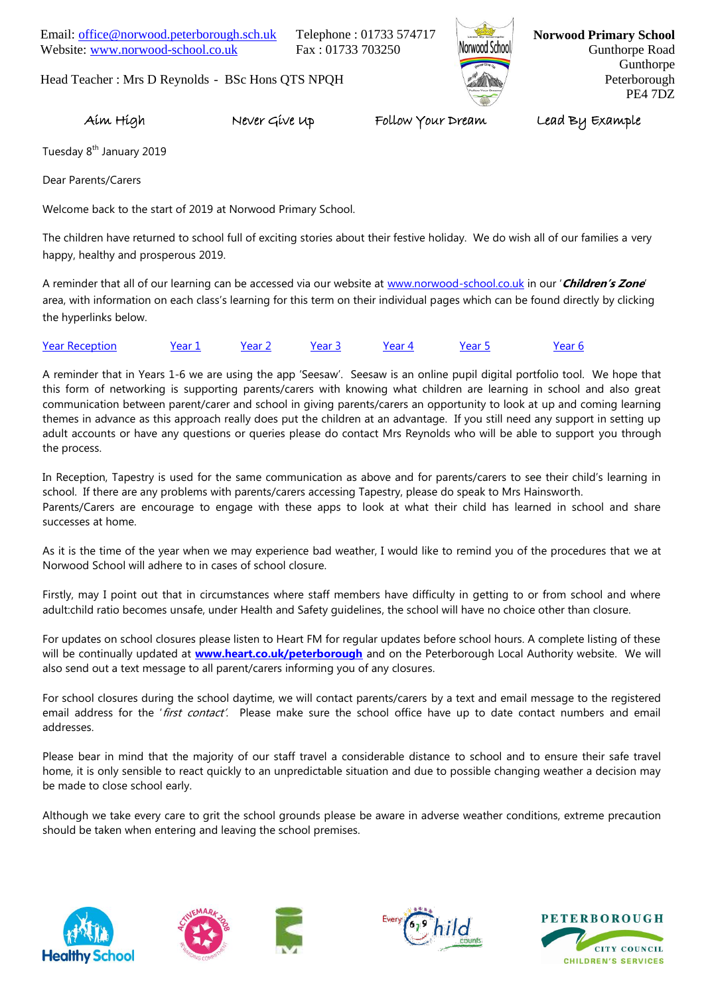Email: [office@norwood.peterborough.sch.uk](mailto:office@norwood.peterborough.sch.uk) Telephone : 01733 574717 Website: [www.norwood-school.co.uk](http://www.norwood-school.co.uk/) Fax: 01733 703250



**Norwood Primary School** Gunthorpe Road Gunthorpe Peterborough PE4 7DZ

Head Teacher : Mrs D Reynolds - BSc Hons QTS NPQH

Aim High Never Give Up Follow Your Dream Lead By Example

Tuesday 8<sup>th</sup> January 2019

Dear Parents/Carers

Welcome back to the start of 2019 at Norwood Primary School.

The children have returned to school full of exciting stories about their festive holiday. We do wish all of our families a very happy, healthy and prosperous 2019.

A reminder that all of our learning can be accessed via our website at [www.norwood-school.co.uk](http://www.norwood-school.co.uk/) in our '**Children's Zone**' area, with information on each class's learning for this term on their individual pages which can be found directly by clicking the hyperlinks below.

| <b>Year Reception</b> | Year 1 | Year 2 | 'ear 3 | Year 5 | 'ear 6 |
|-----------------------|--------|--------|--------|--------|--------|
|                       |        |        |        |        |        |

A reminder that in Years 1-6 we are using the app 'Seesaw'. Seesaw is an online pupil digital portfolio tool. We hope that this form of networking is supporting parents/carers with knowing what children are learning in school and also great communication between parent/carer and school in giving parents/carers an opportunity to look at up and coming learning themes in advance as this approach really does put the children at an advantage. If you still need any support in setting up adult accounts or have any questions or queries please do contact Mrs Reynolds who will be able to support you through the process.

In Reception, Tapestry is used for the same communication as above and for parents/carers to see their child's learning in school. If there are any problems with parents/carers accessing Tapestry, please do speak to Mrs Hainsworth. Parents/Carers are encourage to engage with these apps to look at what their child has learned in school and share successes at home.

As it is the time of the year when we may experience bad weather, I would like to remind you of the procedures that we at Norwood School will adhere to in cases of school closure.

Firstly, may I point out that in circumstances where staff members have difficulty in getting to or from school and where adult:child ratio becomes unsafe, under Health and Safety guidelines, the school will have no choice other than closure.

For updates on school closures please listen to Heart FM for regular updates before school hours. A complete listing of these will be continually updated at **[www.heart.co.uk/peterborough](http://www.heart.co.uk/peterborough)** and on the Peterborough Local Authority website. We will also send out a text message to all parent/carers informing you of any closures.

For school closures during the school daytime, we will contact parents/carers by a text and email message to the registered email address for the 'first contact'. Please make sure the school office have up to date contact numbers and email addresses.

Please bear in mind that the majority of our staff travel a considerable distance to school and to ensure their safe travel home, it is only sensible to react quickly to an unpredictable situation and due to possible changing weather a decision may be made to close school early.

Although we take every care to grit the school grounds please be aware in adverse weather conditions, extreme precaution should be taken when entering and leaving the school premises.